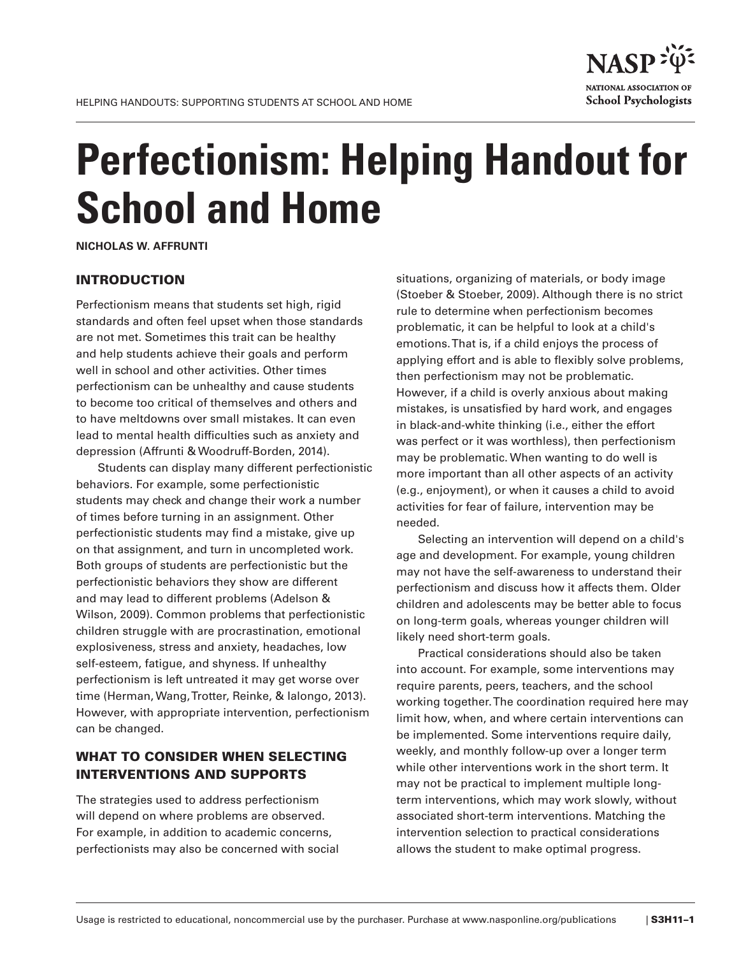

# **Perfectionism: Helping Handout for School and Home**

**NICHOLAS W. AFFRUNTI**

# INTRODUCTION

Perfectionism means that students set high, rigid standards and often feel upset when those standards are not met. Sometimes this trait can be healthy and help students achieve their goals and perform well in school and other activities. Other times perfectionism can be unhealthy and cause students to become too critical of themselves and others and to have meltdowns over small mistakes. It can even lead to mental health difficulties such as anxiety and depression (Affrunti & Woodruff-Borden, 2014).

Students can display many different perfectionistic behaviors. For example, some perfectionistic students may check and change their work a number of times before turning in an assignment. Other perfectionistic students may find a mistake, give up on that assignment, and turn in uncompleted work. Both groups of students are perfectionistic but the perfectionistic behaviors they show are different and may lead to different problems (Adelson & Wilson, 2009). Common problems that perfectionistic children struggle with are procrastination, emotional explosiveness, stress and anxiety, headaches, low self-esteem, fatigue, and shyness. If unhealthy perfectionism is left untreated it may get worse over time (Herman, Wang, Trotter, Reinke, & Ialongo, 2013). However, with appropriate intervention, perfectionism can be changed.

# WHAT TO CONSIDER WHEN SELECTING INTERVENTIONS AND SUPPORTS

The strategies used to address perfectionism will depend on where problems are observed. For example, in addition to academic concerns, perfectionists may also be concerned with social

situations, organizing of materials, or body image (Stoeber & Stoeber, 2009). Although there is no strict rule to determine when perfectionism becomes problematic, it can be helpful to look at a child's emotions. That is, if a child enjoys the process of applying effort and is able to flexibly solve problems, then perfectionism may not be problematic. However, if a child is overly anxious about making mistakes, is unsatisfied by hard work, and engages in black-and-white thinking (i.e., either the effort was perfect or it was worthless), then perfectionism may be problematic. When wanting to do well is more important than all other aspects of an activity (e.g., enjoyment), or when it causes a child to avoid activities for fear of failure, intervention may be needed.

Selecting an intervention will depend on a child's age and development. For example, young children may not have the self-awareness to understand their perfectionism and discuss how it affects them. Older children and adolescents may be better able to focus on long-term goals, whereas younger children will likely need short-term goals.

Practical considerations should also be taken into account. For example, some interventions may require parents, peers, teachers, and the school working together. The coordination required here may limit how, when, and where certain interventions can be implemented. Some interventions require daily, weekly, and monthly follow-up over a longer term while other interventions work in the short term. It may not be practical to implement multiple longterm interventions, which may work slowly, without associated short-term interventions. Matching the intervention selection to practical considerations allows the student to make optimal progress.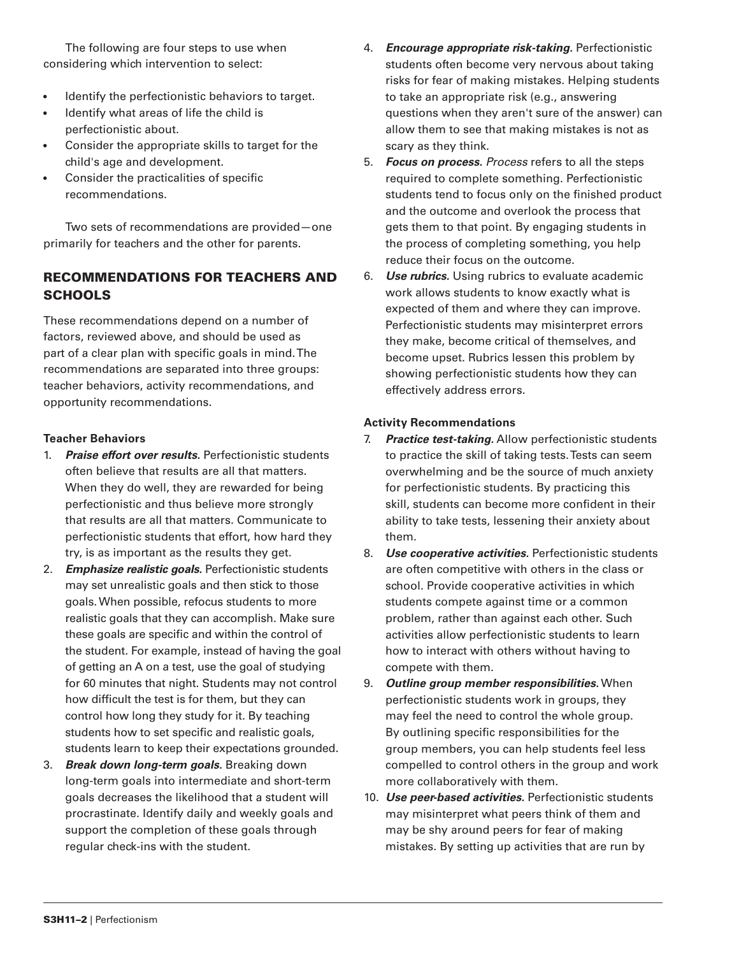The following are four steps to use when considering which intervention to select:

- Identify the perfectionistic behaviors to target.
- Identify what areas of life the child is perfectionistic about.
- Consider the appropriate skills to target for the child's age and development.
- Consider the practicalities of specific recommendations.

Two sets of recommendations are provided—one primarily for teachers and the other for parents.

# RECOMMENDATIONS FOR TEACHERS AND **SCHOOLS**

These recommendations depend on a number of factors, reviewed above, and should be used as part of a clear plan with specific goals in mind. The recommendations are separated into three groups: teacher behaviors, activity recommendations, and opportunity recommendations.

## **Teacher Behaviors**

- 1. *Praise effort over results.* Perfectionistic students often believe that results are all that matters. When they do well, they are rewarded for being perfectionistic and thus believe more strongly that results are all that matters. Communicate to perfectionistic students that effort, how hard they try, is as important as the results they get.
- 2. *Emphasize realistic goals.* Perfectionistic students may set unrealistic goals and then stick to those goals. When possible, refocus students to more realistic goals that they can accomplish. Make sure these goals are specific and within the control of the student. For example, instead of having the goal of getting an A on a test, use the goal of studying for 60 minutes that night. Students may not control how difficult the test is for them, but they can control how long they study for it. By teaching students how to set specific and realistic goals, students learn to keep their expectations grounded.
- 3. *Break down long-term goals.* Breaking down long-term goals into intermediate and short-term goals decreases the likelihood that a student will procrastinate. Identify daily and weekly goals and support the completion of these goals through regular check-ins with the student.
- 4. *Encourage appropriate risk-taking.* Perfectionistic students often become very nervous about taking risks for fear of making mistakes. Helping students to take an appropriate risk (e.g., answering questions when they aren't sure of the answer) can allow them to see that making mistakes is not as scary as they think.
- 5. *Focus on process. Process* refers to all the steps required to complete something. Perfectionistic students tend to focus only on the finished product and the outcome and overlook the process that gets them to that point. By engaging students in the process of completing something, you help reduce their focus on the outcome.
- 6. *Use rubrics.* Using rubrics to evaluate academic work allows students to know exactly what is expected of them and where they can improve. Perfectionistic students may misinterpret errors they make, become critical of themselves, and become upset. Rubrics lessen this problem by showing perfectionistic students how they can effectively address errors.

## **Activity Recommendations**

- 7. *Practice test-taking.* Allow perfectionistic students to practice the skill of taking tests. Tests can seem overwhelming and be the source of much anxiety for perfectionistic students. By practicing this skill, students can become more confident in their ability to take tests, lessening their anxiety about them.
- 8. *Use cooperative activities.* Perfectionistic students are often competitive with others in the class or school. Provide cooperative activities in which students compete against time or a common problem, rather than against each other. Such activities allow perfectionistic students to learn how to interact with others without having to compete with them.
- 9. *Outline group member responsibilities.* When perfectionistic students work in groups, they may feel the need to control the whole group. By outlining specific responsibilities for the group members, you can help students feel less compelled to control others in the group and work more collaboratively with them.
- 10. *Use peer-based activities.* Perfectionistic students may misinterpret what peers think of them and may be shy around peers for fear of making mistakes. By setting up activities that are run by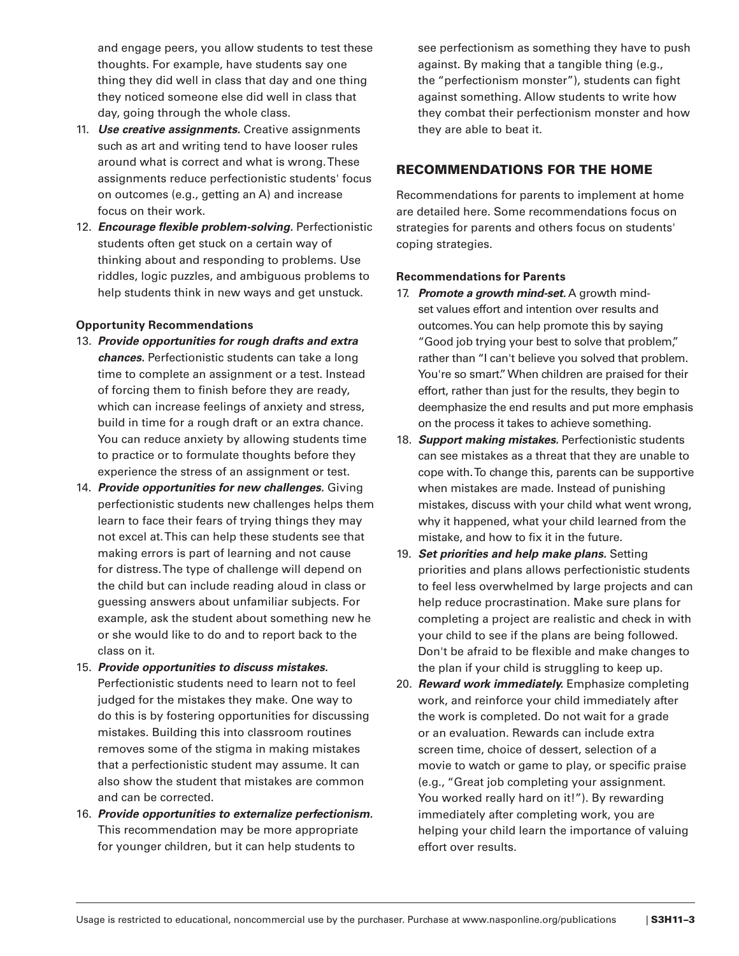and engage peers, you allow students to test these thoughts. For example, have students say one thing they did well in class that day and one thing they noticed someone else did well in class that day, going through the whole class.

- 11. *Use creative assignments.* Creative assignments such as art and writing tend to have looser rules around what is correct and what is wrong. These assignments reduce perfectionistic students' focus on outcomes (e.g., getting an A) and increase focus on their work.
- 12. *Encourage flexible problem-solving.* Perfectionistic students often get stuck on a certain way of thinking about and responding to problems. Use riddles, logic puzzles, and ambiguous problems to help students think in new ways and get unstuck.

#### **Opportunity Recommendations**

- 13. *Provide opportunities for rough drafts and extra chances.* Perfectionistic students can take a long time to complete an assignment or a test. Instead of forcing them to finish before they are ready, which can increase feelings of anxiety and stress, build in time for a rough draft or an extra chance. You can reduce anxiety by allowing students time to practice or to formulate thoughts before they experience the stress of an assignment or test.
- 14. *Provide opportunities for new challenges.* Giving perfectionistic students new challenges helps them learn to face their fears of trying things they may not excel at. This can help these students see that making errors is part of learning and not cause for distress. The type of challenge will depend on the child but can include reading aloud in class or guessing answers about unfamiliar subjects. For example, ask the student about something new he or she would like to do and to report back to the class on it.
- 15. *Provide opportunities to discuss mistakes.* Perfectionistic students need to learn not to feel judged for the mistakes they make. One way to do this is by fostering opportunities for discussing mistakes. Building this into classroom routines removes some of the stigma in making mistakes that a perfectionistic student may assume. It can also show the student that mistakes are common and can be corrected.
- 16. *Provide opportunities to externalize perfectionism.* This recommendation may be more appropriate for younger children, but it can help students to

see perfectionism as something they have to push against. By making that a tangible thing (e.g., the "perfectionism monster"), students can fight against something. Allow students to write how they combat their perfectionism monster and how they are able to beat it.

# RECOMMENDATIONS FOR THE HOME

Recommendations for parents to implement at home are detailed here. Some recommendations focus on strategies for parents and others focus on students' coping strategies.

#### **Recommendations for Parents**

- 17. *Promote a growth mind-set.* A growth mindset values effort and intention over results and outcomes. You can help promote this by saying "Good job trying your best to solve that problem," rather than "I can't believe you solved that problem. You're so smart." When children are praised for their effort, rather than just for the results, they begin to deemphasize the end results and put more emphasis on the process it takes to achieve something.
- 18. *Support making mistakes.* Perfectionistic students can see mistakes as a threat that they are unable to cope with. To change this, parents can be supportive when mistakes are made. Instead of punishing mistakes, discuss with your child what went wrong, why it happened, what your child learned from the mistake, and how to fix it in the future.
- 19. *Set priorities and help make plans.* Setting priorities and plans allows perfectionistic students to feel less overwhelmed by large projects and can help reduce procrastination. Make sure plans for completing a project are realistic and check in with your child to see if the plans are being followed. Don't be afraid to be flexible and make changes to the plan if your child is struggling to keep up.
- 20. *Reward work immediately.* Emphasize completing work, and reinforce your child immediately after the work is completed. Do not wait for a grade or an evaluation. Rewards can include extra screen time, choice of dessert, selection of a movie to watch or game to play, or specific praise (e.g., "Great job completing your assignment. You worked really hard on it!"). By rewarding immediately after completing work, you are helping your child learn the importance of valuing effort over results.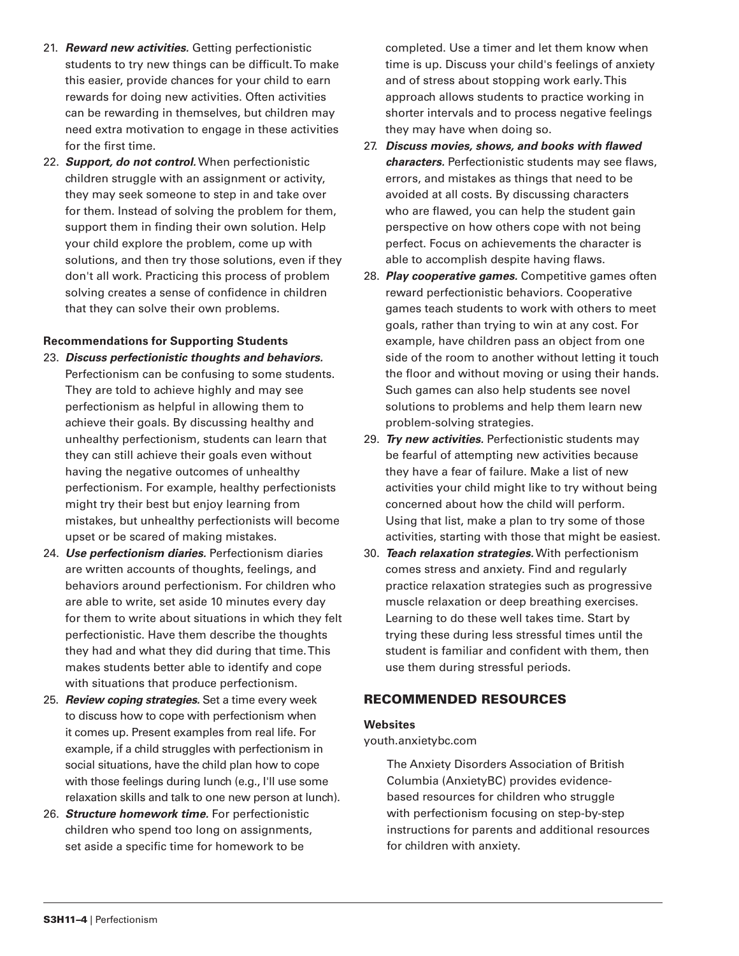- 21. *Reward new activities.* Getting perfectionistic students to try new things can be difficult. To make this easier, provide chances for your child to earn rewards for doing new activities. Often activities can be rewarding in themselves, but children may need extra motivation to engage in these activities for the first time.
- 22. *Support, do not control.* When perfectionistic children struggle with an assignment or activity, they may seek someone to step in and take over for them. Instead of solving the problem for them, support them in finding their own solution. Help your child explore the problem, come up with solutions, and then try those solutions, even if they don't all work. Practicing this process of problem solving creates a sense of confidence in children that they can solve their own problems.

#### **Recommendations for Supporting Students**

- 23. *Discuss perfectionistic thoughts and behaviors.* Perfectionism can be confusing to some students. They are told to achieve highly and may see perfectionism as helpful in allowing them to achieve their goals. By discussing healthy and unhealthy perfectionism, students can learn that they can still achieve their goals even without having the negative outcomes of unhealthy perfectionism. For example, healthy perfectionists might try their best but enjoy learning from mistakes, but unhealthy perfectionists will become upset or be scared of making mistakes.
- 24. *Use perfectionism diaries.* Perfectionism diaries are written accounts of thoughts, feelings, and behaviors around perfectionism. For children who are able to write, set aside 10 minutes every day for them to write about situations in which they felt perfectionistic. Have them describe the thoughts they had and what they did during that time. This makes students better able to identify and cope with situations that produce perfectionism.
- 25. *Review coping strategies.* Set a time every week to discuss how to cope with perfectionism when it comes up. Present examples from real life. For example, if a child struggles with perfectionism in social situations, have the child plan how to cope with those feelings during lunch (e.g., I'll use some relaxation skills and talk to one new person at lunch).
- 26. *Structure homework time.* For perfectionistic children who spend too long on assignments, set aside a specific time for homework to be

completed. Use a timer and let them know when time is up. Discuss your child's feelings of anxiety and of stress about stopping work early. This approach allows students to practice working in shorter intervals and to process negative feelings they may have when doing so.

- 27. *Discuss movies, shows, and books with flawed characters.* Perfectionistic students may see flaws, errors, and mistakes as things that need to be avoided at all costs. By discussing characters who are flawed, you can help the student gain perspective on how others cope with not being perfect. Focus on achievements the character is able to accomplish despite having flaws.
- 28. *Play cooperative games.* Competitive games often reward perfectionistic behaviors. Cooperative games teach students to work with others to meet goals, rather than trying to win at any cost. For example, have children pass an object from one side of the room to another without letting it touch the floor and without moving or using their hands. Such games can also help students see novel solutions to problems and help them learn new problem-solving strategies.
- 29. *Try new activities.* Perfectionistic students may be fearful of attempting new activities because they have a fear of failure. Make a list of new activities your child might like to try without being concerned about how the child will perform. Using that list, make a plan to try some of those activities, starting with those that might be easiest.
- 30. *Teach relaxation strategies.* With perfectionism comes stress and anxiety. Find and regularly practice relaxation strategies such as progressive muscle relaxation or deep breathing exercises. Learning to do these well takes time. Start by trying these during less stressful times until the student is familiar and confident with them, then use them during stressful periods.

# RECOMMENDED RESOURCES

#### **Websites**

#### youth.anxietybc.com

The Anxiety Disorders Association of British Columbia (AnxietyBC) provides evidencebased resources for children who struggle with perfectionism focusing on step-by-step instructions for parents and additional resources for children with anxiety.